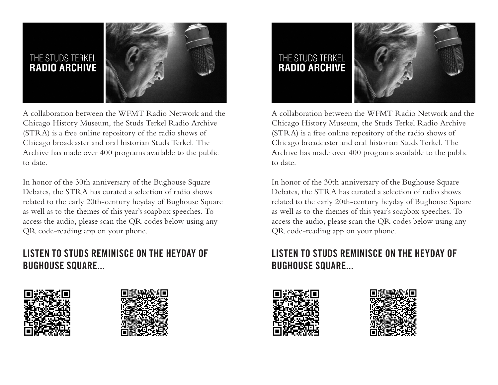

A collaboration between the WFMT Radio Network and the Chicago History Museum, the Studs Terkel Radio Archive (STRA) is a free online repository of the radio shows of Chicago broadcaster and oral historian Studs Terkel. The Archive has made over 400 programs available to the public to date.

In honor of the 30th anniversary of the Bughouse Square Debates, the STRA has curated a selection of radio shows related to the early 20th-century heyday of Bughouse Square as well as to the themes of this year's soapbox speeches. To access the audio, please scan the QR codes below using any QR code-reading app on your phone.

## **LISTEN TO STUDS REMINISCE ON THE HEYDAY OF BUGHOUSE SQUARE...**







A collaboration between the WFMT Radio Network and the Chicago History Museum, the Studs Terkel Radio Archive (STRA) is a free online repository of the radio shows of Chicago broadcaster and oral historian Studs Terkel. The Archive has made over 400 programs available to the public to date.

In honor of the 30th anniversary of the Bughouse Square Debates, the STRA has curated a selection of radio shows related to the early 20th-century heyday of Bughouse Square as well as to the themes of this year's soapbox speeches. To access the audio, please scan the QR codes below using any QR code-reading app on your phone.

## **LISTEN TO STUDS REMINISCE ON THE HEYDAY OF BUGHOUSE SQUARE...**